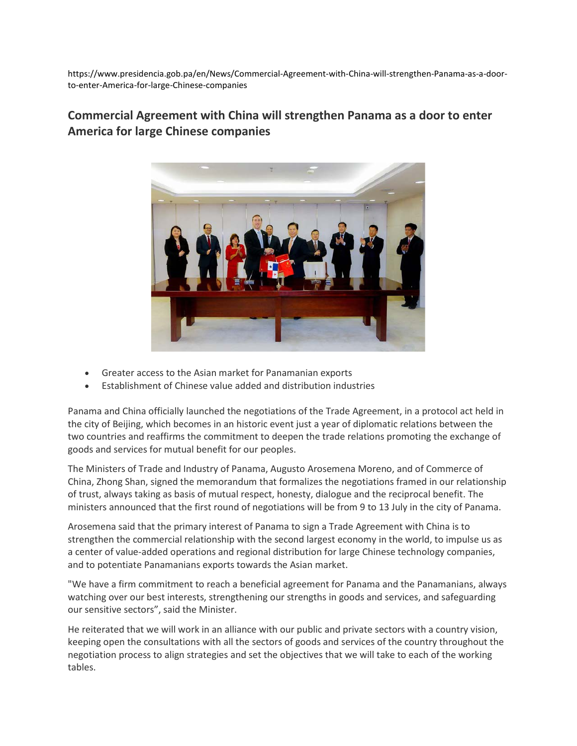https://www.presidencia.gob.pa/en/News/Commercial-Agreement-with-China-will-strengthen-Panama-as-a-doorto-enter-America-for-large-Chinese-companies

## **Commercial Agreement with China will strengthen Panama as a door to enter America for large Chinese companies**



- Greater access to the Asian market for Panamanian exports
- Establishment of Chinese value added and distribution industries

Panama and China officially launched the negotiations of the Trade Agreement, in a protocol act held in the city of Beijing, which becomes in an historic event just a year of diplomatic relations between the two countries and reaffirms the commitment to deepen the trade relations promoting the exchange of goods and services for mutual benefit for our peoples.

The Ministers of Trade and Industry of Panama, Augusto Arosemena Moreno, and of Commerce of China, Zhong Shan, signed the memorandum that formalizes the negotiations framed in our relationship of trust, always taking as basis of mutual respect, honesty, dialogue and the reciprocal benefit. The ministers announced that the first round of negotiations will be from 9 to 13 July in the city of Panama.

Arosemena said that the primary interest of Panama to sign a Trade Agreement with China is to strengthen the commercial relationship with the second largest economy in the world, to impulse us as a center of value-added operations and regional distribution for large Chinese technology companies, and to potentiate Panamanians exports towards the Asian market.

"We have a firm commitment to reach a beneficial agreement for Panama and the Panamanians, always watching over our best interests, strengthening our strengths in goods and services, and safeguarding our sensitive sectors", said the Minister.

He reiterated that we will work in an alliance with our public and private sectors with a country vision, keeping open the consultations with all the sectors of goods and services of the country throughout the negotiation process to align strategies and set the objectives that we will take to each of the working tables.